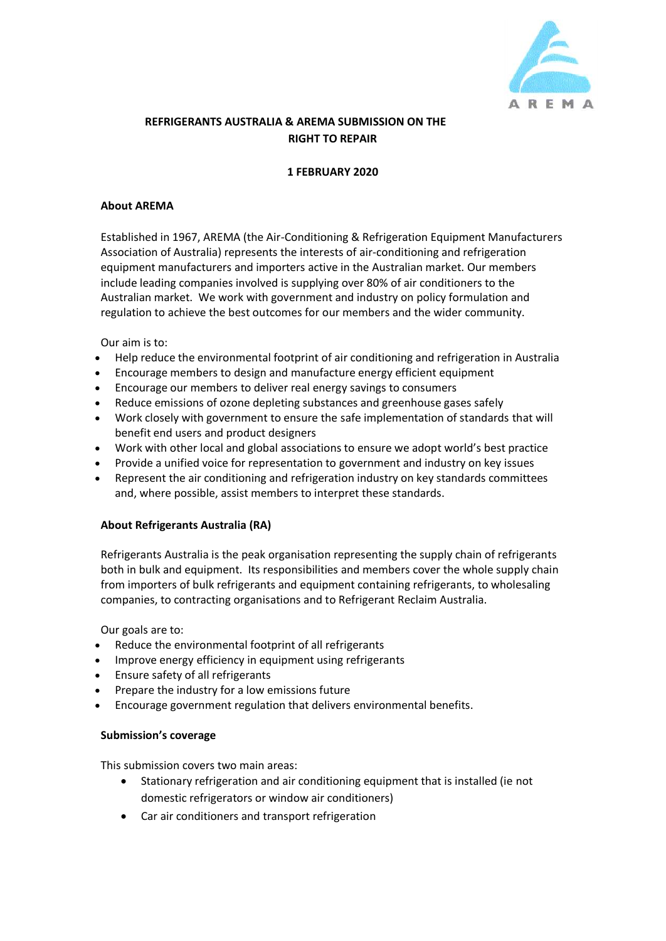

# **REFRIGERANTS AUSTRALIA & AREMA SUBMISSION ON THE RIGHT TO REPAIR**

# **1 FEBRUARY 2020**

# **About AREMA**

Established in 1967, AREMA (the Air-Conditioning & Refrigeration Equipment Manufacturers Association of Australia) represents the interests of air-conditioning and refrigeration equipment manufacturers and importers active in the Australian market. Our members include leading companies involved is supplying over 80% of air conditioners to the Australian market. We work with government and industry on policy formulation and regulation to achieve the best outcomes for our members and the wider community.

Our aim is to:

- Help reduce the environmental footprint of air conditioning and refrigeration in Australia
- Encourage members to design and manufacture energy efficient equipment
- Encourage our members to deliver real energy savings to consumers
- Reduce emissions of ozone depleting substances and greenhouse gases safely
- Work closely with government to ensure the safe implementation of standards that will benefit end users and product designers
- Work with other local and global associations to ensure we adopt world's best practice
- Provide a unified voice for representation to government and industry on key issues
- Represent the air conditioning and refrigeration industry on key standards committees and, where possible, assist members to interpret these standards.

### **About Refrigerants Australia (RA)**

Refrigerants Australia is the peak organisation representing the supply chain of refrigerants both in bulk and equipment. Its responsibilities and members cover the whole supply chain from importers of bulk refrigerants and equipment containing refrigerants, to wholesaling companies, to contracting organisations and to Refrigerant Reclaim Australia.

Our goals are to:

- Reduce the environmental footprint of all refrigerants
- Improve energy efficiency in equipment using refrigerants
- Ensure safety of all refrigerants
- Prepare the industry for a low emissions future
- Encourage government regulation that delivers environmental benefits.

### **Submission's coverage**

This submission covers two main areas:

- Stationary refrigeration and air conditioning equipment that is installed (ie not domestic refrigerators or window air conditioners)
- Car air conditioners and transport refrigeration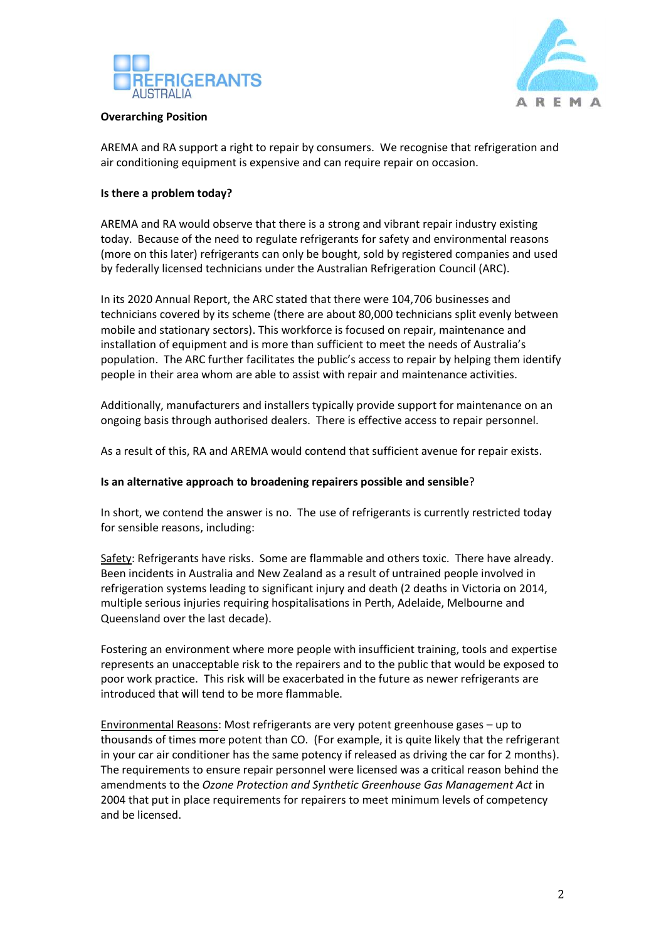



#### **Overarching Position**

AREMA and RA support a right to repair by consumers. We recognise that refrigeration and air conditioning equipment is expensive and can require repair on occasion.

# **Is there a problem today?**

AREMA and RA would observe that there is a strong and vibrant repair industry existing today. Because of the need to regulate refrigerants for safety and environmental reasons (more on this later) refrigerants can only be bought, sold by registered companies and used by federally licensed technicians under the Australian Refrigeration Council (ARC).

In its 2020 Annual Report, the ARC stated that there were 104,706 businesses and technicians covered by its scheme (there are about 80,000 technicians split evenly between mobile and stationary sectors). This workforce is focused on repair, maintenance and installation of equipment and is more than sufficient to meet the needs of Australia's population. The ARC further facilitates the public's access to repair by helping them identify people in their area whom are able to assist with repair and maintenance activities.

Additionally, manufacturers and installers typically provide support for maintenance on an ongoing basis through authorised dealers. There is effective access to repair personnel.

As a result of this, RA and AREMA would contend that sufficient avenue for repair exists.

### **Is an alternative approach to broadening repairers possible and sensible**?

In short, we contend the answer is no. The use of refrigerants is currently restricted today for sensible reasons, including:

Safety: Refrigerants have risks. Some are flammable and others toxic. There have already. Been incidents in Australia and New Zealand as a result of untrained people involved in refrigeration systems leading to significant injury and death (2 deaths in Victoria on 2014, multiple serious injuries requiring hospitalisations in Perth, Adelaide, Melbourne and Queensland over the last decade).

Fostering an environment where more people with insufficient training, tools and expertise represents an unacceptable risk to the repairers and to the public that would be exposed to poor work practice. This risk will be exacerbated in the future as newer refrigerants are introduced that will tend to be more flammable.

Environmental Reasons: Most refrigerants are very potent greenhouse gases – up to thousands of times more potent than CO. (For example, it is quite likely that the refrigerant in your car air conditioner has the same potency if released as driving the car for 2 months). The requirements to ensure repair personnel were licensed was a critical reason behind the amendments to the *Ozone Protection and Synthetic Greenhouse Gas Management Act* in 2004 that put in place requirements for repairers to meet minimum levels of competency and be licensed.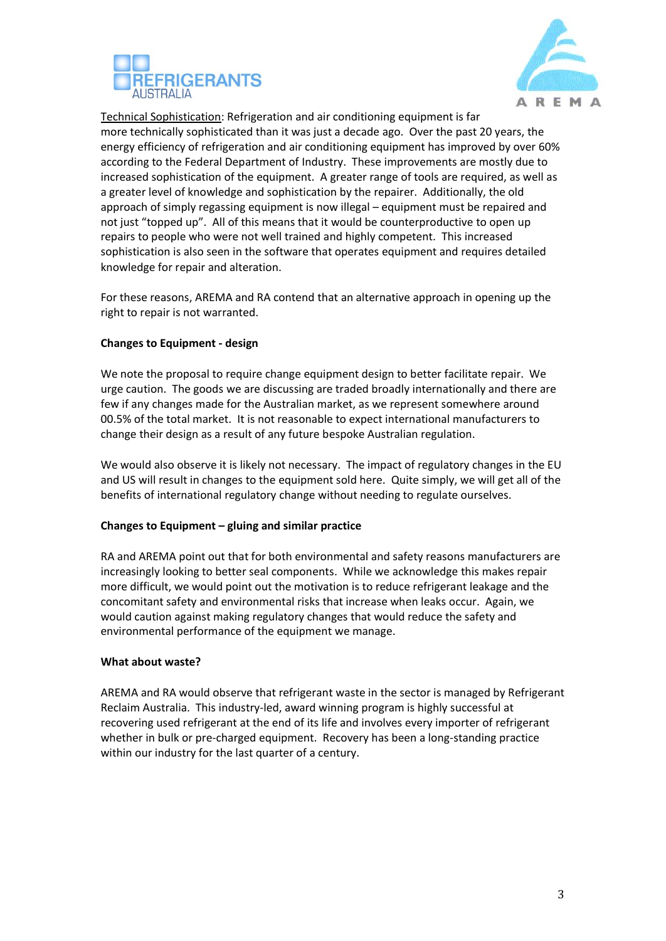



Technical Sophistication: Refrigeration and air conditioning equipment is far more technically sophisticated than it was just a decade ago. Over the past 20 years, the energy efficiency of refrigeration and air conditioning equipment has improved by over 60% according to the Federal Department of Industry. These improvements are mostly due to increased sophistication of the equipment. A greater range of tools are required, as well as a greater level of knowledge and sophistication by the repairer. Additionally, the old approach of simply regassing equipment is now illegal – equipment must be repaired and not just "topped up". All of this means that it would be counterproductive to open up repairs to people who were not well trained and highly competent. This increased sophistication is also seen in the software that operates equipment and requires detailed knowledge for repair and alteration.

For these reasons, AREMA and RA contend that an alternative approach in opening up the right to repair is not warranted.

# **Changes to Equipment - design**

We note the proposal to require change equipment design to better facilitate repair. We urge caution. The goods we are discussing are traded broadly internationally and there are few if any changes made for the Australian market, as we represent somewhere around 00.5% of the total market. It is not reasonable to expect international manufacturers to change their design as a result of any future bespoke Australian regulation.

We would also observe it is likely not necessary. The impact of regulatory changes in the EU and US will result in changes to the equipment sold here. Quite simply, we will get all of the benefits of international regulatory change without needing to regulate ourselves.

### **Changes to Equipment – gluing and similar practice**

RA and AREMA point out that for both environmental and safety reasons manufacturers are increasingly looking to better seal components. While we acknowledge this makes repair more difficult, we would point out the motivation is to reduce refrigerant leakage and the concomitant safety and environmental risks that increase when leaks occur. Again, we would caution against making regulatory changes that would reduce the safety and environmental performance of the equipment we manage.

### **What about waste?**

AREMA and RA would observe that refrigerant waste in the sector is managed by Refrigerant Reclaim Australia. This industry-led, award winning program is highly successful at recovering used refrigerant at the end of its life and involves every importer of refrigerant whether in bulk or pre-charged equipment. Recovery has been a long-standing practice within our industry for the last quarter of a century.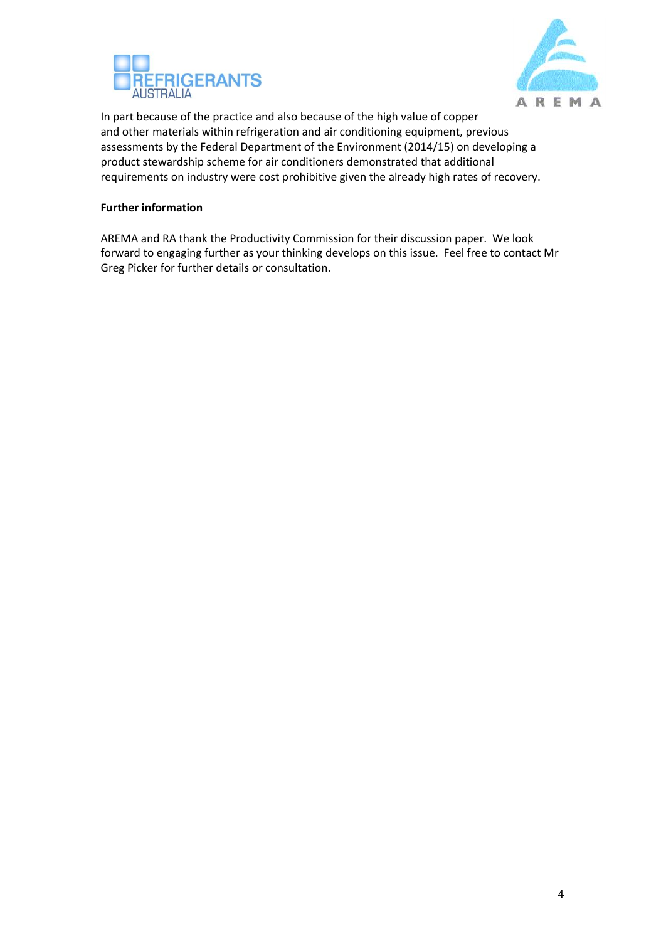



In part because of the practice and also because of the high value of copper and other materials within refrigeration and air conditioning equipment, previous assessments by the Federal Department of the Environment (2014/15) on developing a product stewardship scheme for air conditioners demonstrated that additional requirements on industry were cost prohibitive given the already high rates of recovery.

# **Further information**

AREMA and RA thank the Productivity Commission for their discussion paper. We look forward to engaging further as your thinking develops on this issue. Feel free to contact Mr Greg Picker for further details or consultation.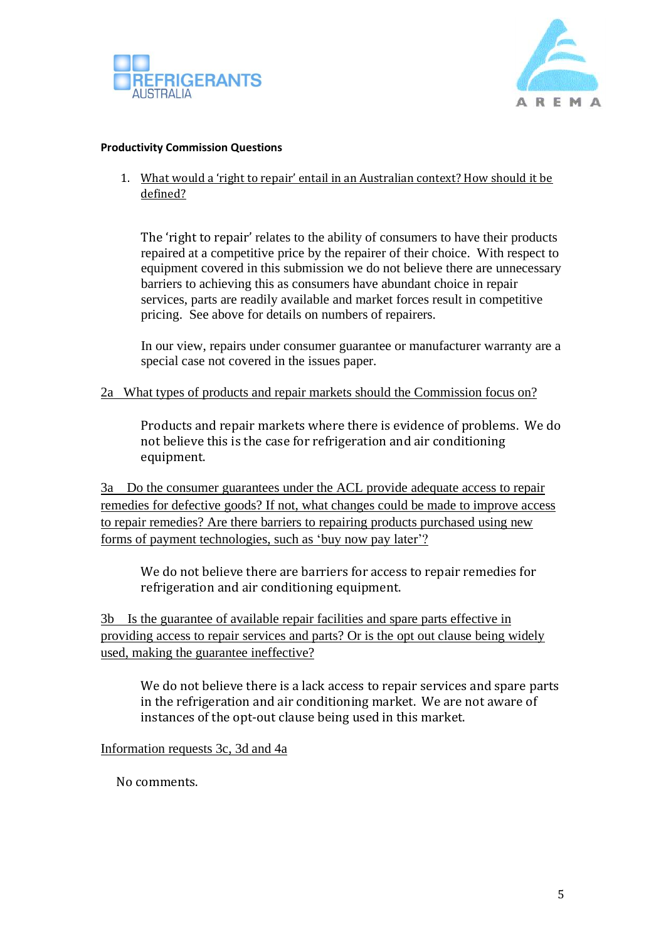



# **Productivity Commission Questions**

1. What would a 'right to repair' entail in an Australian context? How should it be defined?

The 'right to repair' relates to the ability of consumers to have their products repaired at a competitive price by the repairer of their choice. With respect to equipment covered in this submission we do not believe there are unnecessary barriers to achieving this as consumers have abundant choice in repair services, parts are readily available and market forces result in competitive pricing. See above for details on numbers of repairers.

In our view, repairs under consumer guarantee or manufacturer warranty are a special case not covered in the issues paper.

# 2a What types of products and repair markets should the Commission focus on?

Products and repair markets where there is evidence of problems. We do not believe this is the case for refrigeration and air conditioning equipment.

3a Do the consumer guarantees under the ACL provide adequate access to repair remedies for defective goods? If not, what changes could be made to improve access to repair remedies? Are there barriers to repairing products purchased using new forms of payment technologies, such as 'buy now pay later'?

We do not believe there are barriers for access to repair remedies for refrigeration and air conditioning equipment.

3b Is the guarantee of available repair facilities and spare parts effective in providing access to repair services and parts? Or is the opt out clause being widely used, making the guarantee ineffective?

We do not believe there is a lack access to repair services and spare parts in the refrigeration and air conditioning market. We are not aware of instances of the opt-out clause being used in this market.

# Information requests 3c, 3d and 4a

No comments.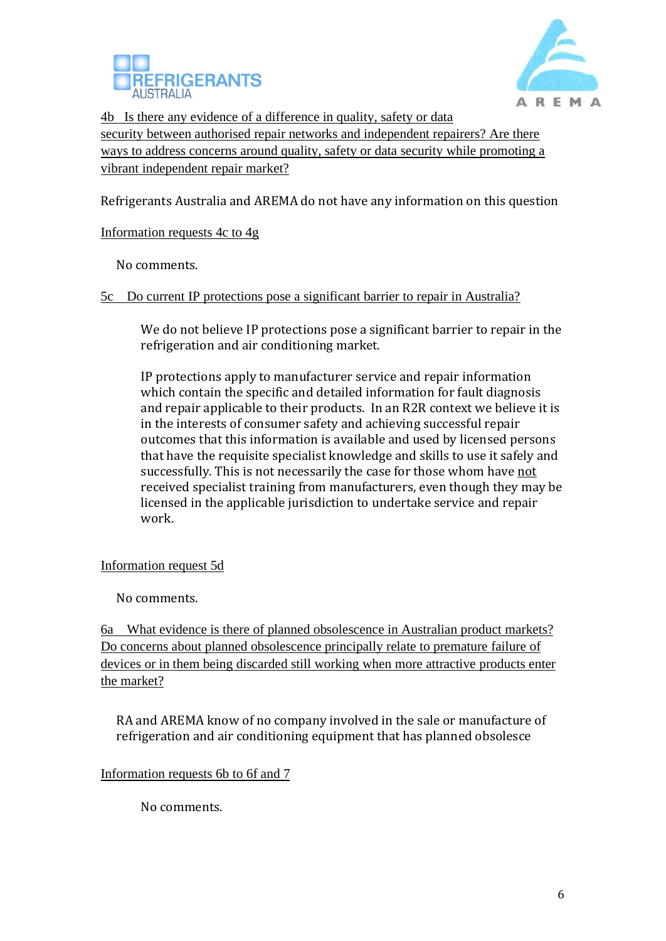



4b Is there any evidence of a difference in quality, safety or data security between authorised repair networks and independent repairers? Are there ways to address concerns around quality, safety or data security while promoting a vibrant independent repair market?

Refrigerants Australia and AREMA do not have any information on this question

Information requests 4c to 4g

No comments.

5c Do current IP protections pose a significant barrier to repair in Australia?

We do not believe IP protections pose a significant barrier to repair in the refrigeration and air conditioning market.

IP protections apply to manufacturer service and repair information which contain the specific and detailed information for fault diagnosis and repair applicable to their products. In an R2R context we believe it is in the interests of consumer safety and achieving successful repair outcomes that this information is available and used by licensed persons that have the requisite specialist knowledge and skills to use it safely and successfully. This is not necessarily the case for those whom have not received specialist training from manufacturers, even though they may be licensed in the applicable jurisdiction to undertake service and repair work.

Information request 5d

No comments.

6a What evidence is there of planned obsolescence in Australian product markets? Do concerns about planned obsolescence principally relate to premature failure of devices or in them being discarded still working when more attractive products enter the market?

RA and AREMA know of no company involved in the sale or manufacture of refrigeration and air conditioning equipment that has planned obsolesce

Information requests 6b to 6f and 7

No comments.